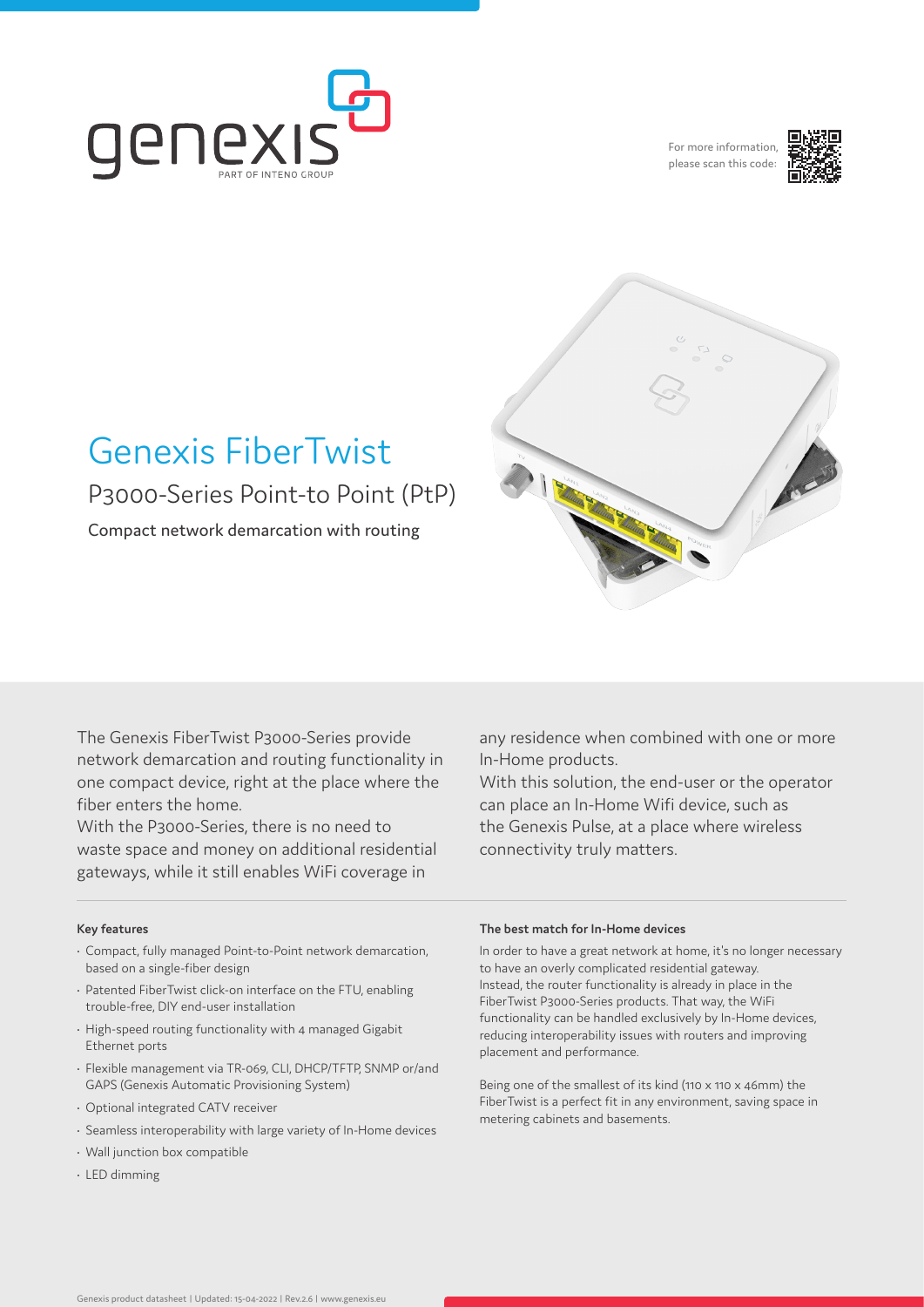

For more information please scan this code:





# Genexis FiberTwist P3000-Series Point-to Point (PtP)

Compact network demarcation with routing

The Genexis FiberTwist P3000-Series provide network demarcation and routing functionality in one compact device, right at the place where the fiber enters the home.

With the P3000-Series, there is no need to waste space and money on additional residential gateways, while it still enables WiFi coverage in

# **Key features**

- Compact, fully managed Point-to-Point network demarcation, based on a single-fiber design
- Patented FiberTwist click-on interface on the FTU, enabling trouble-free, DIY end-user installation
- High-speed routing functionality with 4 managed Gigabit Ethernet ports
- Flexible management via TR-069, CLI, DHCP/TFTP, SNMP or/and GAPS (Genexis Automatic Provisioning System)
- Optional integrated CATV receiver
- Seamless interoperability with large variety of In-Home devices
- Wall junction box compatible
- LED dimming

any residence when combined with one or more In-Home products.

With this solution, the end-user or the operator can place an In-Home Wifi device, such as the Genexis Pulse, at a place where wireless connectivity truly matters.

# **The best match for In-Home devices**

In order to have a great network at home, it's no longer necessary to have an overly complicated residential gateway. Instead, the router functionality is already in place in the FiberTwist P3000-Series products. That way, the WiFi functionality can be handled exclusively by In-Home devices, reducing interoperability issues with routers and improving placement and performance.

Being one of the smallest of its kind (110 x 110 x 46mm) the FiberTwist is a perfect fit in any environment, saving space in metering cabinets and basements.